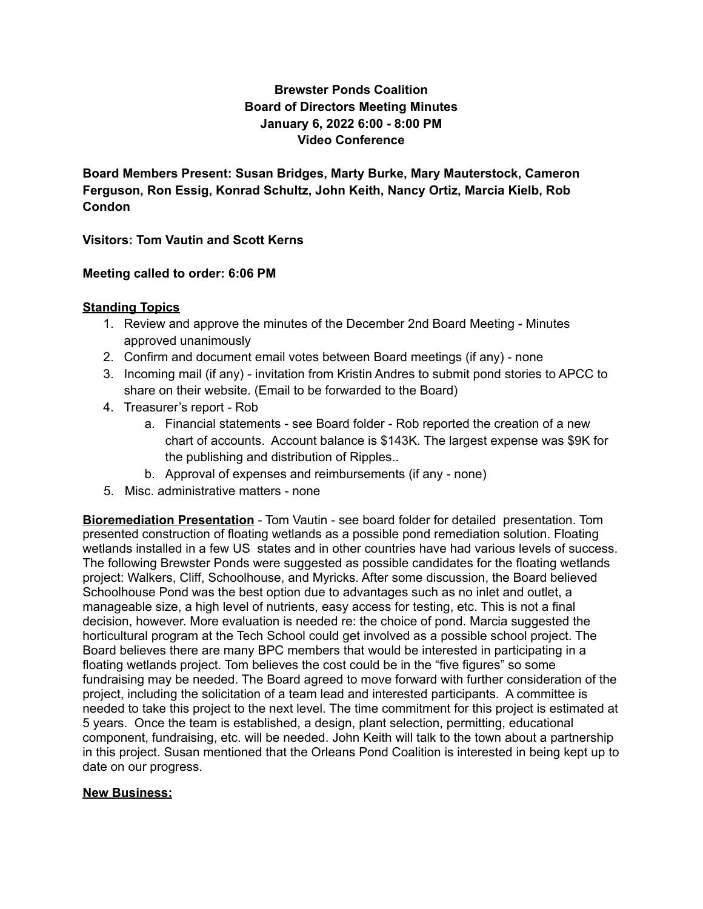# **Brewster Ponds Coalition Board of Directors Meeting Minutes January 6, 2022 6:00 - 8:00 PM Video Conference**

**Board Members Present: Susan Bridges, Marty Burke, Mary Mauterstock, Cameron Ferguson, Ron Essig, Konrad Schultz, John Keith, Nancy Ortiz, Marcia Kielb, Rob Condon**

**Visitors: Tom Vautin and Scott Kerns**

## **Meeting called to order: 6:06 PM**

## **Standing Topics**

- 1. Review and approve the minutes of the December 2nd Board Meeting Minutes approved unanimously
- 2. Confirm and document email votes between Board meetings (if any) none
- 3. Incoming mail (if any) invitation from Kristin Andres to submit pond stories to APCC to share on their website. (Email to be forwarded to the Board)
- 4. Treasurer's report Rob
	- a. Financial statements see Board folder Rob reported the creation of a new chart of accounts. Account balance is \$143K. The largest expense was \$9K for the publishing and distribution of Ripples..
	- b. Approval of expenses and reimbursements (if any none)
- 5. Misc. administrative matters none

**Bioremediation Presentation** - Tom Vautin - see board folder for detailed presentation. Tom presented construction of floating wetlands as a possible pond remediation solution. Floating wetlands installed in a few US states and in other countries have had various levels of success. The following Brewster Ponds were suggested as possible candidates for the floating wetlands project: Walkers, Cliff, Schoolhouse, and Myricks. After some discussion, the Board believed Schoolhouse Pond was the best option due to advantages such as no inlet and outlet, a manageable size, a high level of nutrients, easy access for testing, etc. This is not a final decision, however. More evaluation is needed re: the choice of pond. Marcia suggested the horticultural program at the Tech School could get involved as a possible school project. The Board believes there are many BPC members that would be interested in participating in a floating wetlands project. Tom believes the cost could be in the "five figures" so some fundraising may be needed. The Board agreed to move forward with further consideration of the project, including the solicitation of a team lead and interested participants. A committee is needed to take this project to the next level. The time commitment for this project is estimated at 5 years. Once the team is established, a design, plant selection, permitting, educational component, fundraising, etc. will be needed. John Keith will talk to the town about a partnership in this project. Susan mentioned that the Orleans Pond Coalition is interested in being kept up to date on our progress.

#### **New Business:**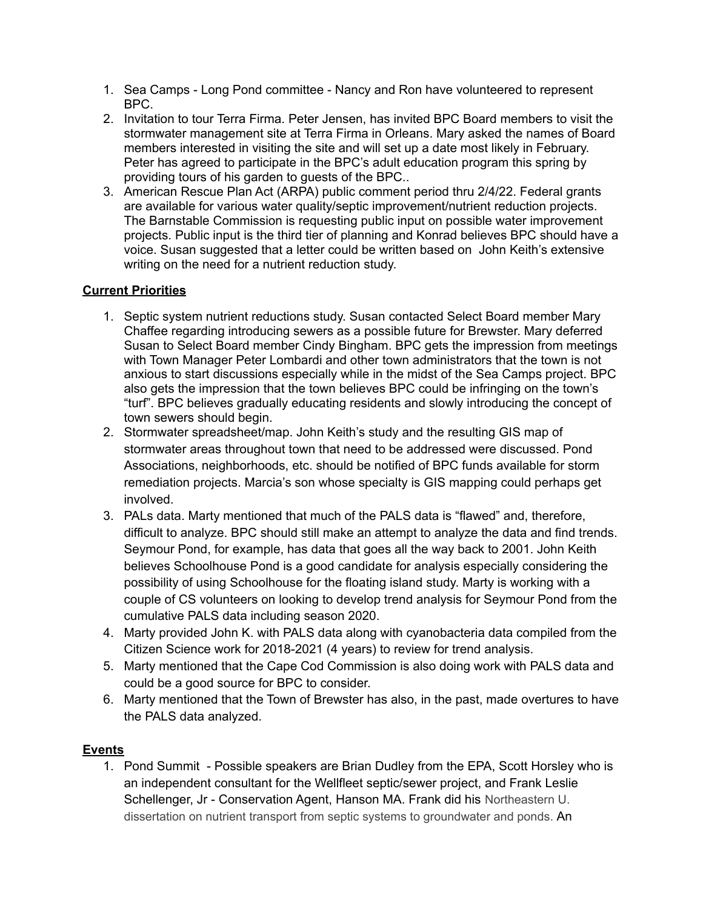- 1. Sea Camps Long Pond committee Nancy and Ron have volunteered to represent BPC.
- 2. Invitation to tour Terra Firma. Peter Jensen, has invited BPC Board members to visit the stormwater management site at Terra Firma in Orleans. Mary asked the names of Board members interested in visiting the site and will set up a date most likely in February. Peter has agreed to participate in the BPC's adult education program this spring by providing tours of his garden to guests of the BPC..
- 3. American Rescue Plan Act (ARPA) public comment period thru 2/4/22. Federal grants are available for various water quality/septic improvement/nutrient reduction projects. The Barnstable Commission is requesting public input on possible water improvement projects. Public input is the third tier of planning and Konrad believes BPC should have a voice. Susan suggested that a letter could be written based on John Keith's extensive writing on the need for a nutrient reduction study.

# **Current Priorities**

- 1. Septic system nutrient reductions study. Susan contacted Select Board member Mary Chaffee regarding introducing sewers as a possible future for Brewster. Mary deferred Susan to Select Board member Cindy Bingham. BPC gets the impression from meetings with Town Manager Peter Lombardi and other town administrators that the town is not anxious to start discussions especially while in the midst of the Sea Camps project. BPC also gets the impression that the town believes BPC could be infringing on the town's "turf". BPC believes gradually educating residents and slowly introducing the concept of town sewers should begin.
- 2. Stormwater spreadsheet/map. John Keith's study and the resulting GIS map of stormwater areas throughout town that need to be addressed were discussed. Pond Associations, neighborhoods, etc. should be notified of BPC funds available for storm remediation projects. Marcia's son whose specialty is GIS mapping could perhaps get involved.
- 3. PALs data. Marty mentioned that much of the PALS data is "flawed" and, therefore, difficult to analyze. BPC should still make an attempt to analyze the data and find trends. Seymour Pond, for example, has data that goes all the way back to 2001. John Keith believes Schoolhouse Pond is a good candidate for analysis especially considering the possibility of using Schoolhouse for the floating island study. Marty is working with a couple of CS volunteers on looking to develop trend analysis for Seymour Pond from the cumulative PALS data including season 2020.
- 4. Marty provided John K. with PALS data along with cyanobacteria data compiled from the Citizen Science work for 2018-2021 (4 years) to review for trend analysis.
- 5. Marty mentioned that the Cape Cod Commission is also doing work with PALS data and could be a good source for BPC to consider.
- 6. Marty mentioned that the Town of Brewster has also, in the past, made overtures to have the PALS data analyzed.

## **Events**

1. Pond Summit - Possible speakers are Brian Dudley from the EPA, Scott Horsley who is an independent consultant for the Wellfleet septic/sewer project, and Frank Leslie Schellenger, Jr - Conservation Agent, Hanson MA. Frank did his Northeastern U. dissertation on nutrient transport from septic systems to groundwater and ponds. An